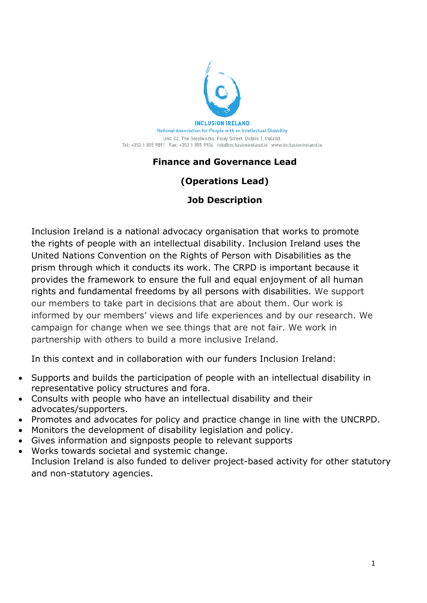

## **Finance and Governance Lead**

## **(Operations Lead)**

### **Job Description**

Inclusion Ireland is a national advocacy organisation that works to promote the rights of people with an intellectual disability. Inclusion Ireland uses the United Nations Convention on the Rights of Person with Disabilities as the prism through which it conducts its work. The CRPD is important because it provides the framework to ensure the full and equal enjoyment of all human rights and fundamental freedoms by all persons with disabilities. We support our members to take part in decisions that are about them. Our work is informed by our members' views and life experiences and by our research. We campaign for change when we see things that are not fair. We work in partnership with others to build a more inclusive Ireland.

In this context and in collaboration with our funders Inclusion Ireland:

- Supports and builds the participation of people with an intellectual disability in representative policy structures and fora.
- Consults with people who have an intellectual disability and their advocates/supporters.
- Promotes and advocates for policy and practice change in line with the UNCRPD.
- Monitors the development of disability legislation and policy.
- Gives information and signposts people to relevant supports
- Works towards societal and systemic change. Inclusion Ireland is also funded to deliver project-based activity for other statutory and non-statutory agencies.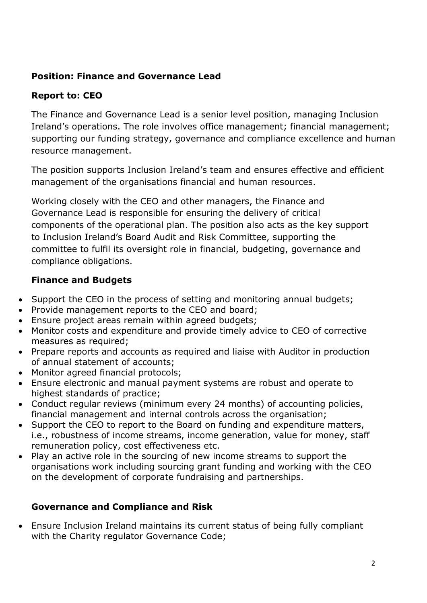## **Position: Finance and Governance Lead**

## **Report to: CEO**

The Finance and Governance Lead is a senior level position, managing Inclusion Ireland's operations. The role involves office management; financial management; supporting our funding strategy, governance and compliance excellence and human resource management.

The position supports Inclusion Ireland's team and ensures effective and efficient management of the organisations financial and human resources.

Working closely with the CEO and other managers, the Finance and Governance Lead is responsible for ensuring the delivery of critical components of the operational plan. The position also acts as the key support to Inclusion Ireland's Board Audit and Risk Committee, supporting the committee to fulfil its oversight role in financial, budgeting, governance and compliance obligations.

### **Finance and Budgets**

- Support the CEO in the process of setting and monitoring annual budgets;
- Provide management reports to the CEO and board;
- Ensure project areas remain within agreed budgets;
- Monitor costs and expenditure and provide timely advice to CEO of corrective measures as required;
- Prepare reports and accounts as required and liaise with Auditor in production of annual statement of accounts;
- Monitor agreed financial protocols;
- Ensure electronic and manual payment systems are robust and operate to highest standards of practice;
- Conduct regular reviews (minimum every 24 months) of accounting policies, financial management and internal controls across the organisation;
- Support the CEO to report to the Board on funding and expenditure matters, i.e., robustness of income streams, income generation, value for money, staff remuneration policy, cost effectiveness etc.
- Play an active role in the sourcing of new income streams to support the organisations work including sourcing grant funding and working with the CEO on the development of corporate fundraising and partnerships.

#### **Governance and Compliance and Risk**

• Ensure Inclusion Ireland maintains its current status of being fully compliant with the Charity regulator Governance Code;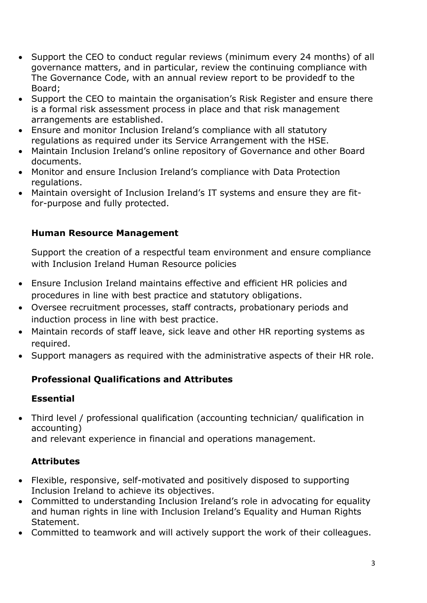- Support the CEO to conduct regular reviews (minimum every 24 months) of all governance matters, and in particular, review the continuing compliance with The Governance Code, with an annual review report to be providedf to the Board;
- Support the CEO to maintain the organisation's Risk Register and ensure there is a formal risk assessment process in place and that risk management arrangements are established.
- Ensure and monitor Inclusion Ireland's compliance with all statutory regulations as required under its Service Arrangement with the HSE.
- Maintain Inclusion Ireland's online repository of Governance and other Board documents.
- Monitor and ensure Inclusion Ireland's compliance with Data Protection regulations.
- Maintain oversight of Inclusion Ireland's IT systems and ensure they are fitfor-purpose and fully protected.

## **Human Resource Management**

Support the creation of a respectful team environment and ensure compliance with Inclusion Ireland Human Resource policies

- Ensure Inclusion Ireland maintains effective and efficient HR policies and procedures in line with best practice and statutory obligations.
- Oversee recruitment processes, staff contracts, probationary periods and induction process in line with best practice.
- Maintain records of staff leave, sick leave and other HR reporting systems as required.
- Support managers as required with the administrative aspects of their HR role.

# **Professional Qualifications and Attributes**

## **Essential**

• Third level / professional qualification (accounting technician/ qualification in accounting)

and relevant experience in financial and operations management.

## **Attributes**

- Flexible, responsive, self-motivated and positively disposed to supporting Inclusion Ireland to achieve its objectives.
- Committed to understanding Inclusion Ireland's role in advocating for equality and human rights in line with Inclusion Ireland's Equality and Human Rights Statement.
- Committed to teamwork and will actively support the work of their colleagues.